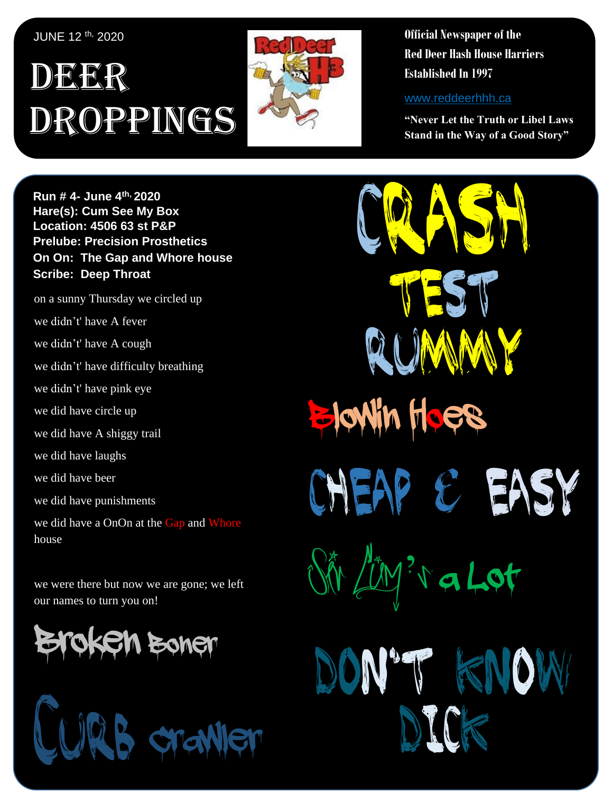JUNE 12 th, 2020

### , 1 DEER Droppings



**Official Newspaper of the Red Deer Hash House Harriers Established In 1997** 

www.reddeerhhh.ca

CRASM

**JIMANY** 

Test

Cheap & Easy

*Sir Cum*'*s* a Lot

Dick

Don't Know

Blowin Hoes

**"Never Let the Truth or Libel Laws Stand in the Way of a Good Story"**

**Hare(s): Deep Throat with a little help from her Run # 4- June 4 th, 2020 virgin friend Hare(s): Cum See My Box Location:** Notre Dame High School **Location: 4506 63 st P&P Prelube: Precision Prosthetics On On: The Gap and Whore house Scribe: Dean Thread Scribe: Deep Throat** 

on a sunny Thursday we circled up we didn't' have A fever we didn't' have A cough we didn't' have difficulty breathing so I met up with **Curb Crawler**, **TNT**, **Slippery When**  we did have circle up we did have A shiggy trail we did have laughs we did have beer we did have punishments we did have a OnOn at the Gap and Whore house **house** we didn't' have pink eye

we were there but now we are gone; we left our names to turn you on!